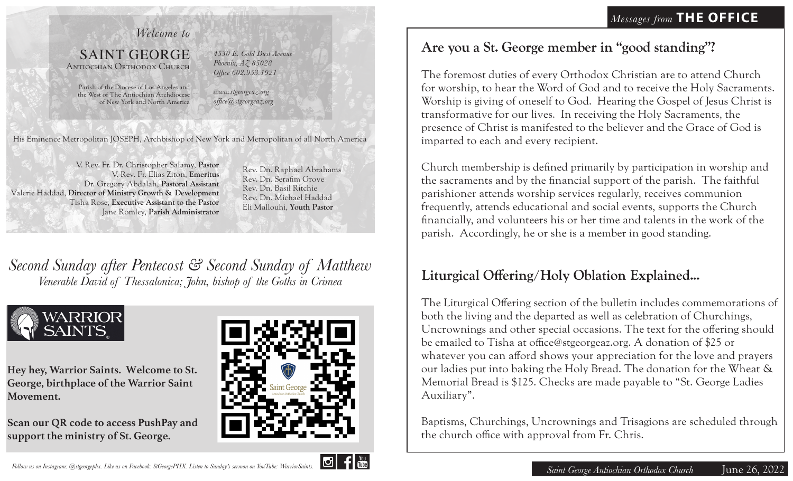### *Welcome to*

#### SAINT GEORGE Antiochian Orthodox Church

*4530 E. Gold Dust Avenue Phoenix, AZ 85028 Office 602.953.1921*

Parish of the Diocese of Los Angeles and the West of The Antiochian Archdiocese of New York and North America *www.stgeorgeaz.org office@stgeorgeaz.org*

His Eminence Metropolitan JOSEPH, Archbishop of New York and Metropolitan of all North America

V. Rev. Fr. Dr. Christopher Salamy, **Pastor** V. Rev. Fr. Elias Ziton, **Emeritus** Dr. Gregory Abdalah, **Pastoral Assistant**  Valerie Haddad, **Director of Ministry Growth & Development** Tisha Rose, **Executive Assistant to the Pastor** Jane Romley, **Parish Administrator**

Rev. Dn. Raphael Abrahams Rev. Dn. Serafim Grove Rev. Dn. Basil Ritchie Rev. Dn. Michael Haddad Eli Mallouhi, **Youth Pastor**

*Second Sunday after Pentecost & Second Sunday of Matthew Venerable David of Thessalonica; John, bishop of the Goths in Crimea*



**Hey hey, Warrior Saints. Welcome to St. George, birthplace of the Warrior Saint Movement.** 

**Scan our QR code to access PushPay and support the ministry of St. George.**



## **Are you a St. George member in "good standing"?**

The foremost duties of every Orthodox Christian are to attend Church for worship, to hear the Word of God and to receive the Holy Sacraments. Worship is giving of oneself to God. Hearing the Gospel of Jesus Christ is transformative for our lives. In receiving the Holy Sacraments, the presence of Christ is manifested to the believer and the Grace of God is imparted to each and every recipient.

Church membership is defined primarily by participation in worship and the sacraments and by the financial support of the parish. The faithful parishioner attends worship services regularly, receives communion frequently, attends educational and social events, supports the Church financially, and volunteers his or her time and talents in the work of the parish. Accordingly, he or she is a member in good standing.

# **Liturgical Offering/Holy Oblation Explained...**

The Liturgical Offering section of the bulletin includes commemorations of both the living and the departed as well as celebration of Churchings, Uncrownings and other special occasions. The text for the offering should be emailed to Tisha at office@stgeorgeaz.org. A donation of \$25 or whatever you can afford shows your appreciation for the love and prayers our ladies put into baking the Holy Bread. The donation for the Wheat & Memorial Bread is \$125. Checks are made payable to "St. George Ladies Auxiliary".

Baptisms, Churchings, Uncrownings and Trisagions are scheduled through the church office with approval from Fr. Chris.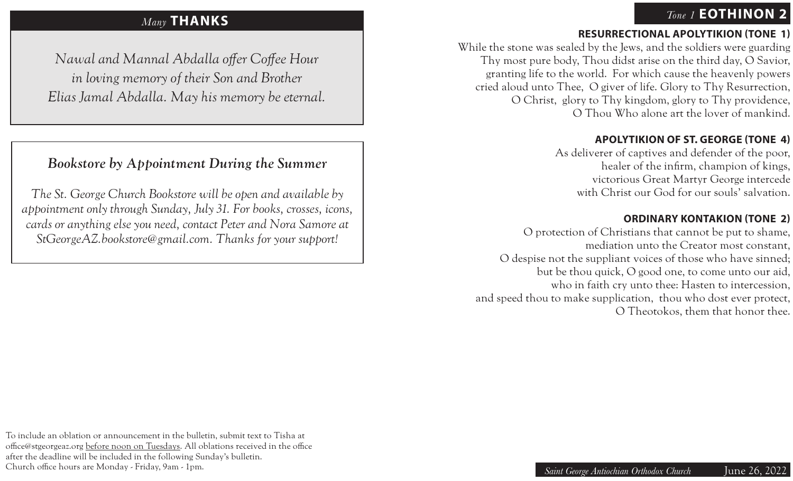## *Tone 1* **EOTHINON 2**

## *Many* **THANKS**

*Nawal and Mannal Abdalla offer Coffee Hour in loving memory of their Son and Brother Elias Jamal Abdalla. May his memory be eternal.*

# *Bookstore by Appointment During the Summer*

*The St. George Church Bookstore will be open and available by appointment only through Sunday, July 31. For books, crosses, icons, cards or anything else you need, contact Peter and Nora Samore at StGeorgeAZ.bookstore@gmail.com. Thanks for your support!*

### **RESURRECTIONAL APOLYTIKION (TONE 1)**

While the stone was sealed by the Jews, and the soldiers were guarding Thy most pure body, Thou didst arise on the third day, O Savior, granting life to the world. For which cause the heavenly powers cried aloud unto Thee, O giver of life. Glory to Thy Resurrection, O Christ, glory to Thy kingdom, glory to Thy providence, O Thou Who alone art the lover of mankind.

#### **APOLYTIKION OF ST. GEORGE (TONE 4)**

As deliverer of captives and defender of the poor, healer of the infirm, champion of kings, victorious Great Martyr George intercede with Christ our God for our souls' salvation.

#### **ORDINARY KONTAKION (TONE 2)**

O protection of Christians that cannot be put to shame, mediation unto the Creator most constant, O despise not the suppliant voices of those who have sinned; but be thou quick, O good one, to come unto our aid, who in faith cry unto thee: Hasten to intercession, and speed thou to make supplication, thou who dost ever protect, O Theotokos, them that honor thee.

To include an oblation or announcement in the bulletin, submit text to Tisha at office@stgeorgeaz.org before noon on Tuesdays. All oblations received in the office after the deadline will be included in the following Sunday's bulletin. Church office hours are Monday - Friday, 9am - 1pm.